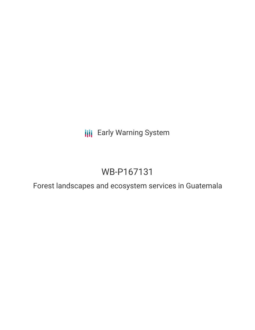**III** Early Warning System

# WB-P167131

Forest landscapes and ecosystem services in Guatemala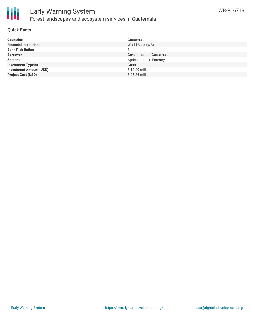

#### **Quick Facts**

| <b>Countries</b>               | Guatemala                      |
|--------------------------------|--------------------------------|
| <b>Financial Institutions</b>  | World Bank (WB)                |
| <b>Bank Risk Rating</b>        | B                              |
| <b>Borrower</b>                | <b>Government of Guatemala</b> |
| <b>Sectors</b>                 | Agriculture and Forestry       |
| <b>Investment Type(s)</b>      | Grant                          |
| <b>Investment Amount (USD)</b> | \$12.20 million                |
| <b>Project Cost (USD)</b>      | $$26.86$ million               |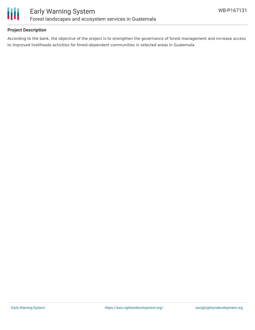

#### **Project Description**

According to the bank, the objective of the project is to strengthen the governance of forest management and increase access to improved livelihoods activities for forest-dependent communities in selected areas in Guatemala.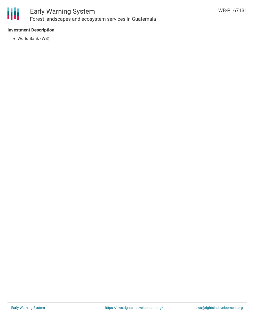

### Early Warning System Forest landscapes and ecosystem services in Guatemala

#### **Investment Description**

World Bank (WB)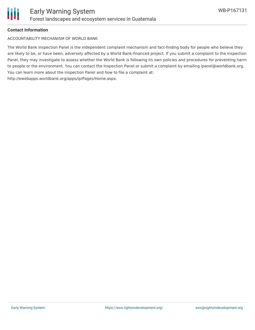

#### **Contact Information**

ACCOUNTABILITY MECHANISM OF WORLD BANK

The World Bank Inspection Panel is the independent complaint mechanism and fact-finding body for people who believe they are likely to be, or have been, adversely affected by a World Bank-financed project. If you submit a complaint to the Inspection Panel, they may investigate to assess whether the World Bank is following its own policies and procedures for preventing harm to people or the environment. You can contact the Inspection Panel or submit a complaint by emailing ipanel@worldbank.org. You can learn more about the Inspection Panel and how to file a complaint at: http://ewebapps.worldbank.org/apps/ip/Pages/Home.aspx.